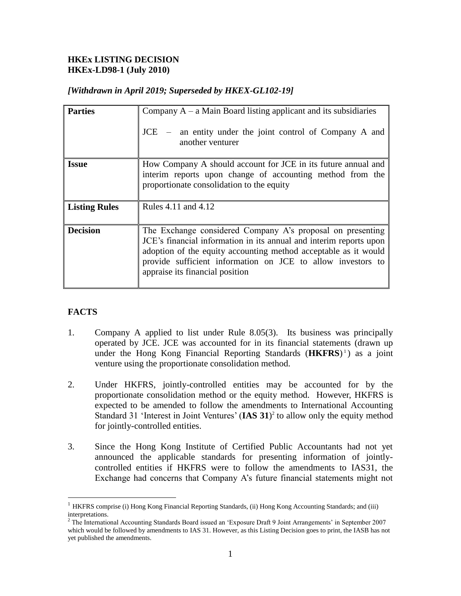## **HKEx LISTING DECISION HKEx-LD98-1 (July 2010)**

|  |  |  |  | [Withdrawn in April 2019; Superseded by HKEX-GL102-19] |
|--|--|--|--|--------------------------------------------------------|
|--|--|--|--|--------------------------------------------------------|

| <b>Parties</b>       | Company $A - a$ Main Board listing applicant and its subsidiaries<br>JCE – an entity under the joint control of Company A and<br>another venturer                                                                                                                                                     |
|----------------------|-------------------------------------------------------------------------------------------------------------------------------------------------------------------------------------------------------------------------------------------------------------------------------------------------------|
| <b>Issue</b>         | How Company A should account for JCE in its future annual and<br>interim reports upon change of accounting method from the<br>proportionate consolidation to the equity                                                                                                                               |
| <b>Listing Rules</b> | Rules 4.11 and 4.12                                                                                                                                                                                                                                                                                   |
| <b>Decision</b>      | The Exchange considered Company A's proposal on presenting<br>JCE's financial information in its annual and interim reports upon<br>adoption of the equity accounting method acceptable as it would<br>provide sufficient information on JCE to allow investors to<br>appraise its financial position |

# **FACTS**

 $\overline{a}$ 

- 1. Company A applied to list under Rule 8.05(3). Its business was principally operated by JCE. JCE was accounted for in its financial statements (drawn up under the Hong Kong Financial Reporting Standards (**HKFRS**) 1 ) as a joint venture using the proportionate consolidation method.
- 2. Under HKFRS, jointly-controlled entities may be accounted for by the proportionate consolidation method or the equity method. However, HKFRS is expected to be amended to follow the amendments to International Accounting Standard 31 'Interest in Joint Ventures' (**IAS 31**) 2 to allow only the equity method for jointly-controlled entities.
- 3. Since the Hong Kong Institute of Certified Public Accountants had not yet announced the applicable standards for presenting information of jointlycontrolled entities if HKFRS were to follow the amendments to IAS31, the Exchange had concerns that Company A's future financial statements might not

<sup>&</sup>lt;sup>1</sup> HKFRS comprise (i) Hong Kong Financial Reporting Standards, (ii) Hong Kong Accounting Standards; and (iii) interpretations.

<sup>&</sup>lt;sup>2</sup> The International Accounting Standards Board issued an 'Exposure Draft 9 Joint Arrangements' in September 2007 which would be followed by amendments to IAS 31. However, as this Listing Decision goes to print, the IASB has not yet published the amendments.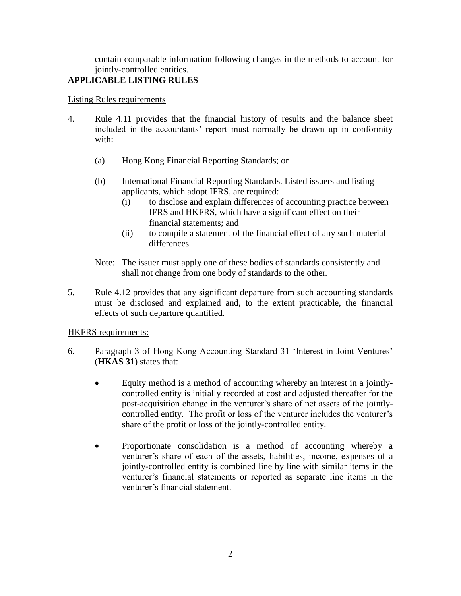contain comparable information following changes in the methods to account for jointly-controlled entities.

# **APPLICABLE LISTING RULES**

#### Listing Rules requirements

- 4. Rule 4.11 provides that the financial history of results and the balance sheet included in the accountants' report must normally be drawn up in conformity with:—
	- (a) Hong Kong Financial Reporting Standards; or
	- (b) International Financial Reporting Standards. Listed issuers and listing applicants, which adopt IFRS, are required:—
		- (i) to disclose and explain differences of accounting practice between IFRS and HKFRS, which have a significant effect on their financial statements; and
		- (ii) to compile a statement of the financial effect of any such material differences.
	- Note: The issuer must apply one of these bodies of standards consistently and shall not change from one body of standards to the other.
- 5. Rule 4.12 provides that any significant departure from such accounting standards must be disclosed and explained and, to the extent practicable, the financial effects of such departure quantified.

## HKFRS requirements:

- 6. Paragraph 3 of Hong Kong Accounting Standard 31 'Interest in Joint Ventures' (**HKAS 31**) states that:
	- Equity method is a method of accounting whereby an interest in a jointlycontrolled entity is initially recorded at cost and adjusted thereafter for the post-acquisition change in the venturer's share of net assets of the jointlycontrolled entity. The profit or loss of the venturer includes the venturer's share of the profit or loss of the jointly-controlled entity.
	- Proportionate consolidation is a method of accounting whereby a venturer's share of each of the assets, liabilities, income, expenses of a jointly-controlled entity is combined line by line with similar items in the venturer's financial statements or reported as separate line items in the venturer's financial statement.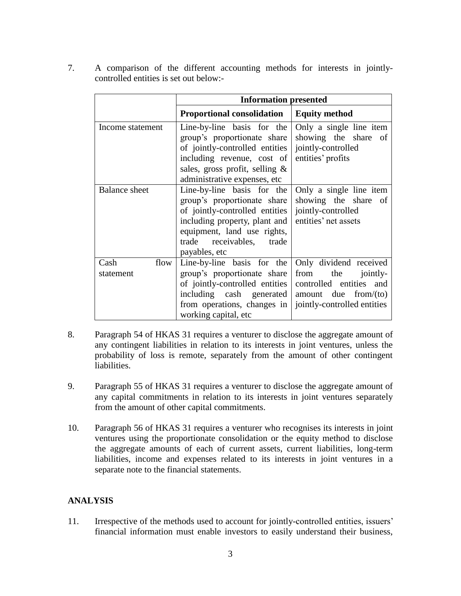7. A comparison of the different accounting methods for interests in jointlycontrolled entities is set out below:-

|                           | <b>Information presented</b>                                                                                                                                                                                                        |                                                                                               |  |  |
|---------------------------|-------------------------------------------------------------------------------------------------------------------------------------------------------------------------------------------------------------------------------------|-----------------------------------------------------------------------------------------------|--|--|
|                           | <b>Proportional consolidation</b>                                                                                                                                                                                                   | <b>Equity method</b>                                                                          |  |  |
| Income statement          | Line-by-line basis for the<br>group's proportionate share showing the share of<br>of jointly-controlled entities<br>including revenue, cost of<br>sales, gross profit, selling $\&$<br>administrative expenses, etc                 | Only a single line item<br>jointly-controlled<br>entities' profits                            |  |  |
| <b>Balance</b> sheet      | Line-by-line basis for the<br>group's proportionate share<br>of jointly-controlled entities<br>including property, plant and<br>equipment, land use rights,<br>trade receivables, trade<br>payables, etc                            | Only a single line item<br>showing the share of<br>jointly-controlled<br>entities' net assets |  |  |
| flow<br>Cash<br>statement | Line-by-line basis for the<br>group's proportionate share<br>of jointly-controlled entities<br>including $cash$ generated amount due from/(to)<br>from operations, changes in   jointly-controlled entities<br>working capital, etc | Only dividend received<br>from the jointly-<br>controlled entities<br>and                     |  |  |

- 8. Paragraph 54 of HKAS 31 requires a venturer to disclose the aggregate amount of any contingent liabilities in relation to its interests in joint ventures, unless the probability of loss is remote, separately from the amount of other contingent liabilities.
- 9. Paragraph 55 of HKAS 31 requires a venturer to disclose the aggregate amount of any capital commitments in relation to its interests in joint ventures separately from the amount of other capital commitments.
- 10. Paragraph 56 of HKAS 31 requires a venturer who recognises its interests in joint ventures using the proportionate consolidation or the equity method to disclose the aggregate amounts of each of current assets, current liabilities, long-term liabilities, income and expenses related to its interests in joint ventures in a separate note to the financial statements.

# **ANALYSIS**

11. Irrespective of the methods used to account for jointly-controlled entities, issuers' financial information must enable investors to easily understand their business,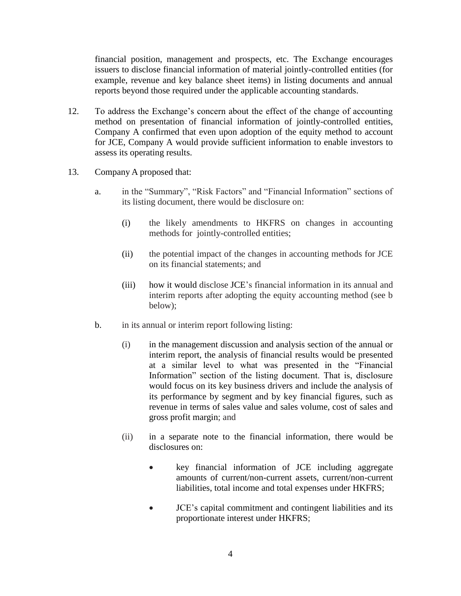financial position, management and prospects, etc. The Exchange encourages issuers to disclose financial information of material jointly-controlled entities (for example, revenue and key balance sheet items) in listing documents and annual reports beyond those required under the applicable accounting standards.

- 12. To address the Exchange's concern about the effect of the change of accounting method on presentation of financial information of jointly-controlled entities, Company A confirmed that even upon adoption of the equity method to account for JCE, Company A would provide sufficient information to enable investors to assess its operating results.
- 13. Company A proposed that:
	- a. in the "Summary", "Risk Factors" and "Financial Information" sections of its listing document, there would be disclosure on:
		- (i) the likely amendments to HKFRS on changes in accounting methods for jointly-controlled entities;
		- (ii) the potential impact of the changes in accounting methods for JCE on its financial statements; and
		- (iii) how it would disclose JCE's financial information in its annual and interim reports after adopting the equity accounting method (see b below);
	- b. in its annual or interim report following listing:
		- (i) in the management discussion and analysis section of the annual or interim report, the analysis of financial results would be presented at a similar level to what was presented in the "Financial Information" section of the listing document. That is, disclosure would focus on its key business drivers and include the analysis of its performance by segment and by key financial figures, such as revenue in terms of sales value and sales volume, cost of sales and gross profit margin; and
		- (ii) in a separate note to the financial information, there would be disclosures on:
			- key financial information of JCE including aggregate amounts of current/non-current assets, current/non-current liabilities, total income and total expenses under HKFRS;
			- JCE's capital commitment and contingent liabilities and its proportionate interest under HKFRS;